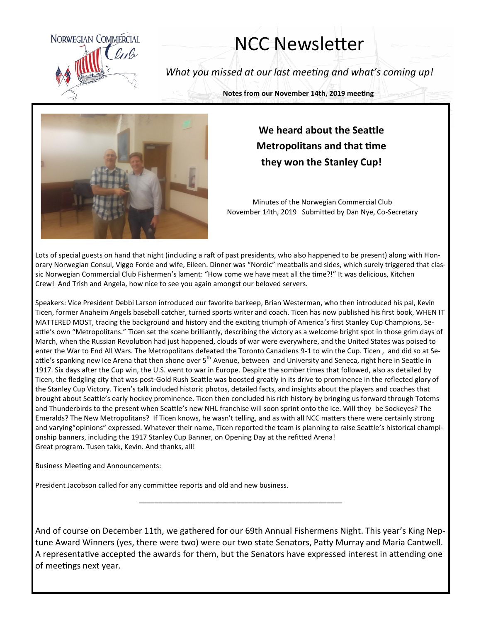

## NCC Newsletter

*What you missed at our last meeting and what's coming up!*

**Notes from our November 14th, 2019 meeting**



## **We heard about the Seattle Metropolitans and that time they won the Stanley Cup!**

Minutes of the Norwegian Commercial Club November 14th, 2019 Submitted by Dan Nye, Co-Secretary

Lots of special guests on hand that night (including a raft of past presidents, who also happened to be present) along with Honorary Norwegian Consul, Viggo Forde and wife, Eileen. Dinner was "Nordic" meatballs and sides, which surely triggered that classic Norwegian Commercial Club Fishermen's lament: "How come we have meat all the time?!" It was delicious, Kitchen Crew! And Trish and Angela, how nice to see you again amongst our beloved servers.

Speakers: Vice President Debbi Larson introduced our favorite barkeep, Brian Westerman, who then introduced his pal, Kevin Ticen, former Anaheim Angels baseball catcher, turned sports writer and coach. Ticen has now published his first book, WHEN IT MATTERED MOST, tracing the background and history and the exciting triumph of America's first Stanley Cup Champions, Seattle's own "Metropolitans." Ticen set the scene brilliantly, describing the victory as a welcome bright spot in those grim days of March, when the Russian Revolution had just happened, clouds of war were everywhere, and the United States was poised to enter the War to End All Wars. The Metropolitans defeated the Toronto Canadiens 9-1 to win the Cup. Ticen , and did so at Seattle's spanking new Ice Arena that then shone over 5<sup>th</sup> Avenue, between and University and Seneca, right here in Seattle in 1917. Six days after the Cup win, the U.S. went to war in Europe. Despite the somber times that followed, also as detailed by Ticen, the fledgling city that was post-Gold Rush Seattle was boosted greatly in its drive to prominence in the reflected glory of the Stanley Cup Victory. Ticen's talk included historic photos, detailed facts, and insights about the players and coaches that brought about Seattle's early hockey prominence. Ticen then concluded his rich history by bringing us forward through Totems and Thunderbirds to the present when Seattle's new NHL franchise will soon sprint onto the ice. Will they be Sockeyes? The Emeralds? The New Metropolitans? If Ticen knows, he wasn't telling, and as with all NCC matters there were certainly strong and varying"opinions" expressed. Whatever their name, Ticen reported the team is planning to raise Seattle's historical championship banners, including the 1917 Stanley Cup Banner, on Opening Day at the refitted Arena! Great program. Tusen takk, Kevin. And thanks, all!

Business Meeting and Announcements:

President Jacobson called for any committee reports and old and new business.

And of course on December 11th, we gathered for our 69th Annual Fishermens Night. This year's King Neptune Award Winners (yes, there were two) were our two state Senators, Patty Murray and Maria Cantwell. A representative accepted the awards for them, but the Senators have expressed interest in attending one of meetings next year.

\_\_\_\_\_\_\_\_\_\_\_\_\_\_\_\_\_\_\_\_\_\_\_\_\_\_\_\_\_\_\_\_\_\_\_\_\_\_\_\_\_\_\_\_\_\_\_\_\_\_\_\_